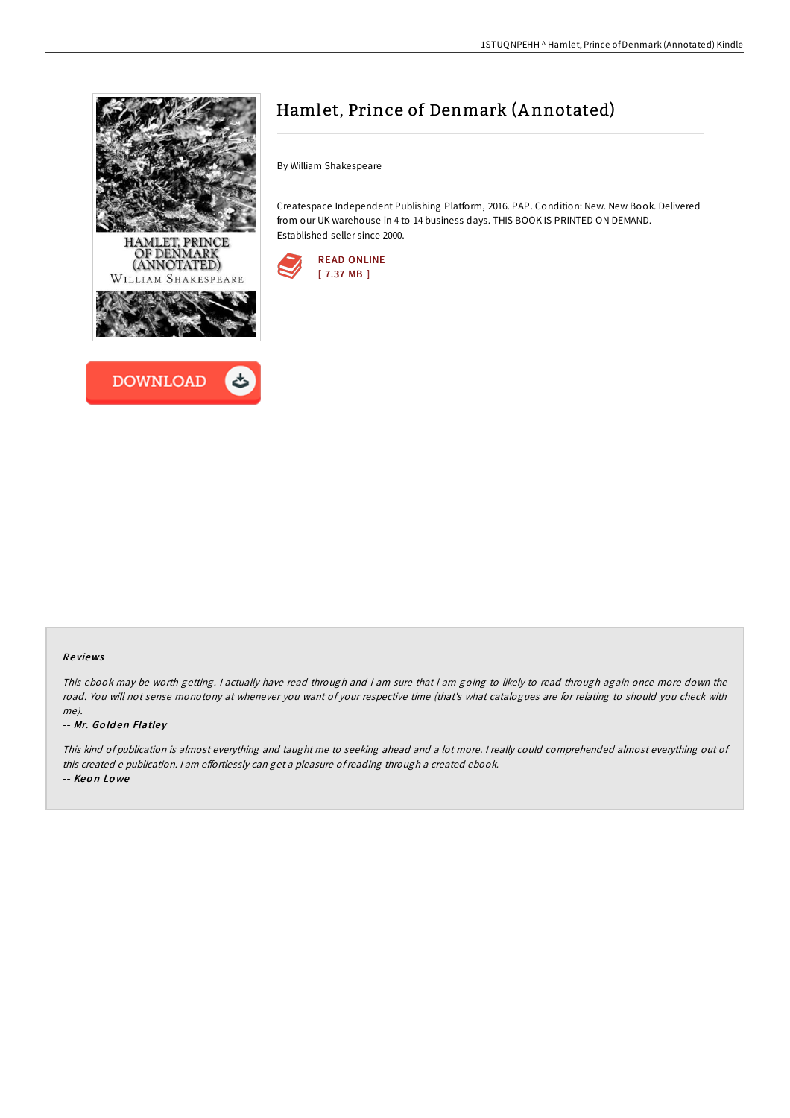



# Hamlet, Prince of Denmark (A nnotated)

By William Shakespeare

Createspace Independent Publishing Platform, 2016. PAP. Condition: New. New Book. Delivered from our UK warehouse in 4 to 14 business days. THIS BOOK IS PRINTED ON DEMAND. Established seller since 2000.



## Re views

This ebook may be worth getting. I actually have read through and i am sure that i am going to likely to read through again once more down the road. You will not sense monotony at whenever you want of your respective time (that's what catalogues are for relating to should you check with me).

#### -- Mr. Go ld en Flatle y

This kind of publication is almost everything and taught me to seeking ahead and <sup>a</sup> lot more. <sup>I</sup> really could comprehended almost everything out of this created e publication. I am effortlessly can get a pleasure of reading through a created ebook.

-- Keo n Lo we